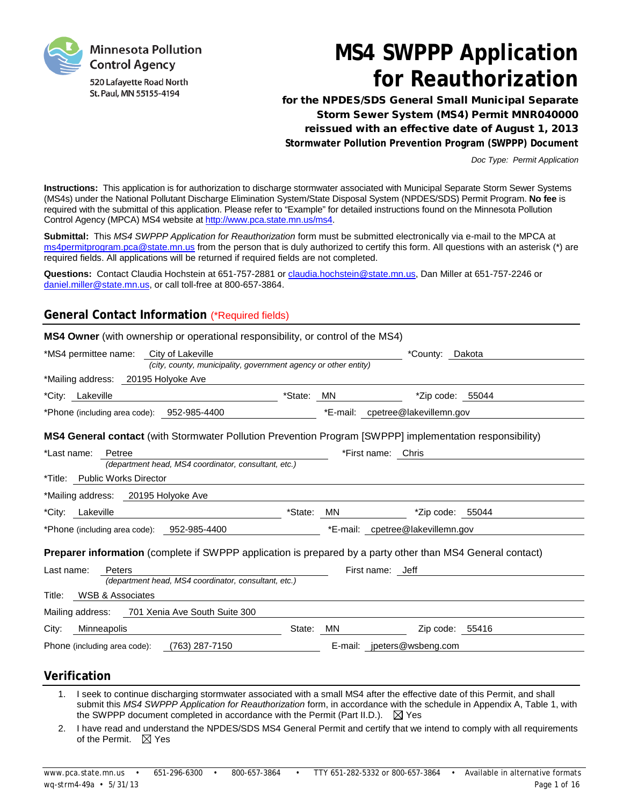

# **MS4 SWPPP Application for Reauthorization**

for the NPDES/SDS General Small Municipal Separate Storm Sewer System (MS4) Permit MNR040000 reissued with an effective date of August 1, 2013 **Stormwater Pollution Prevention Program (SWPPP) Document**

*Doc Type: Permit Application*

**Instructions:** This application is for authorization to discharge stormwater associated with Municipal Separate Storm Sewer Systems (MS4s) under the National Pollutant Discharge Elimination System/State Disposal System (NPDES/SDS) Permit Program. **No fee** is required with the submittal of this application. Please refer to "Example" for detailed instructions found on the Minnesota Pollution Control Agency (MPCA) MS4 website at [http://www.pca.state.mn.us/ms4.](http://www.pca.state.mn.us/ms4)

**Submittal:** This *MS4 SWPPP Application for Reauthorization* form must be submitted electronically via e-mail to the MPCA at [ms4permitprogram.pca@state.mn.us](mailto:ms4permitprogram.pca@state.mn.us) from the person that is duly authorized to certify this form. All questions with an asterisk (\*) are required fields. All applications will be returned if required fields are not completed.

**Questions:** Contact Claudia Hochstein at 651-757-2881 or [claudia.hochstein@state.mn.us,](mailto:claudia.hochstein@state.mn.us) Dan Miller at 651-757-2246 or [daniel.miller@state.mn.us,](mailto:daniel.miller@state.mn.us) or call toll-free at 800-657-3864.

# **General Contact Information** (\*Required fields)

| *MS4 permittee name:<br>City of Lakeville                                                                         |         |    | *County: Dakota                  |
|-------------------------------------------------------------------------------------------------------------------|---------|----|----------------------------------|
| (city, county, municipality, government agency or other entity)                                                   |         |    |                                  |
| *Mailing address: 20195 Holyoke Ave                                                                               |         |    |                                  |
| *City: Lakeville                                                                                                  | *State: | ΜN | $*$ Zip code: 55044              |
| *Phone (including area code): 952-985-4400                                                                        |         |    | *E-mail: cpetree@lakevillemn.gov |
| <b>MS4 General contact</b> (with Stormwater Pollution Prevention Program [SWPPP] implementation responsibility)   |         |    |                                  |
| *Last name:<br>Petree                                                                                             |         |    | *First name: Chris               |
| (department head, MS4 coordinator, consultant, etc.)                                                              |         |    |                                  |
| *Title: Public Works Director                                                                                     |         |    |                                  |
| *Mailing address: 20195 Holyoke Ave                                                                               |         |    |                                  |
| *City: Lakeville                                                                                                  | *State: | MN | *Zip code: 55044                 |
| *Phone (including area code): 952-985-4400                                                                        |         |    | *E-mail: cpetree@lakevillemn.gov |
|                                                                                                                   |         |    |                                  |
| <b>Preparer information</b> (complete if SWPPP application is prepared by a party other than MS4 General contact) |         |    |                                  |
| Last name:<br>Peters                                                                                              |         |    | First name: Jeff                 |
| (department head, MS4 coordinator, consultant, etc.)                                                              |         |    |                                  |
| <b>WSB &amp; Associates</b><br>Title:                                                                             |         |    |                                  |
| Mailing address: 701 Xenia Ave South Suite 300                                                                    |         |    |                                  |
| City:<br>Minneapolis                                                                                              | State:  | MN | Zip code: 55416                  |

## **Verification**

- 1. I seek to continue discharging stormwater associated with a small MS4 after the effective date of this Permit, and shall submit this *MS4 SWPPP Application for Reauthorization* form, in accordance with the schedule in Appendix A, Table 1, with the SWPPP document completed in accordance with the Permit (Part II.D.).  $\boxtimes$  Yes
- 2. I have read and understand the NPDES/SDS MS4 General Permit and certify that we intend to comply with all requirements of the Permit.  $\boxtimes$  Yes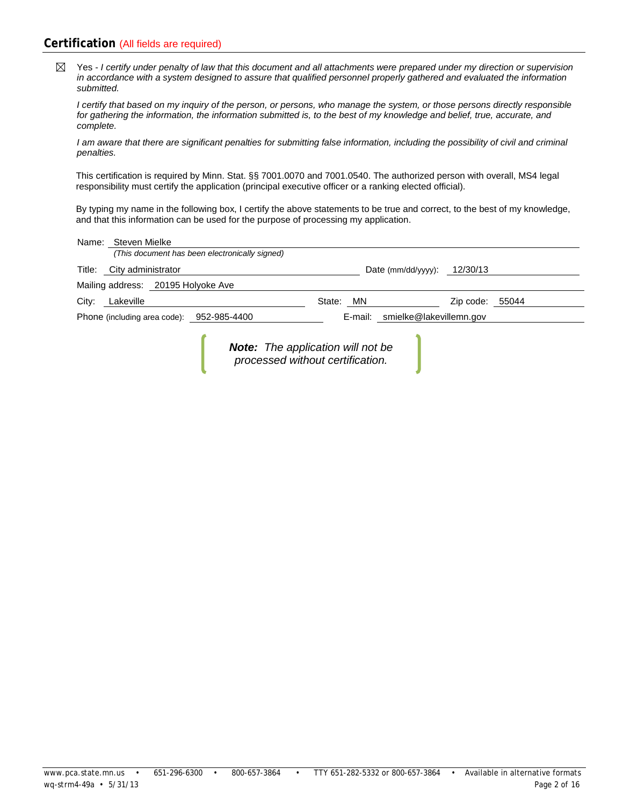## **Certification** (All fields are required)

Yes - *I certify under penalty of law that this document and all attachments were prepared under my direction or supervision*   $\boxtimes$ *in accordance with a system designed to assure that qualified personnel properly gathered and evaluated the information submitted.*

*I certify that based on my inquiry of the person, or persons, who manage the system, or those persons directly responsible for gathering the information, the information submitted is, to the best of my knowledge and belief, true, accurate, and complete.*

*I am aware that there are significant penalties for submitting false information, including the possibility of civil and criminal penalties.*

This certification is required by Minn. Stat. §§ 7001.0070 and 7001.0540. The authorized person with overall, MS4 legal responsibility must certify the application (principal executive officer or a ranking elected official).

By typing my name in the following box, I certify the above statements to be true and correct, to the best of my knowledge, and that this information can be used for the purpose of processing my application.

|       | Name: Steven Mielke                       |                                                                              |                                 |           |       |
|-------|-------------------------------------------|------------------------------------------------------------------------------|---------------------------------|-----------|-------|
|       |                                           | (This document has been electronically signed)                               |                                 |           |       |
|       | Title: City administrator                 |                                                                              | Date (mm/dd/yyyy): $12/30/13$   |           |       |
|       | Mailing address: 20195 Holyoke Ave        |                                                                              |                                 |           |       |
| City: | Lakeville                                 |                                                                              | State:<br>MN                    | Zip code: | 55044 |
|       | Phone (including area code): 952-985-4400 |                                                                              | E-mail: smielke@lakevillemn.gov |           |       |
|       |                                           | <b>Note:</b> The application will not be<br>processed without certification. |                                 |           |       |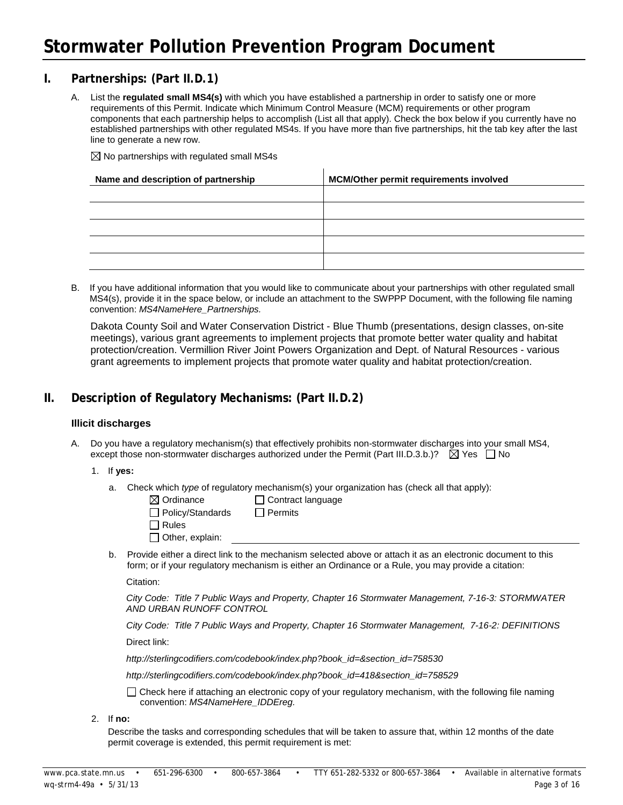## **I. Partnerships: (Part II.D.1)**

A. List the **regulated small MS4(s)** with which you have established a partnership in order to satisfy one or more requirements of this Permit. Indicate which Minimum Control Measure (MCM) requirements or other program components that each partnership helps to accomplish (List all that apply). Check the box below if you currently have no established partnerships with other regulated MS4s. If you have more than five partnerships, hit the tab key after the last line to generate a new row.

 $\boxtimes$  No partnerships with regulated small MS4s

| Name and description of partnership | <b>MCM/Other permit requirements involved</b> |
|-------------------------------------|-----------------------------------------------|
|                                     |                                               |
|                                     |                                               |
|                                     |                                               |
|                                     |                                               |
|                                     |                                               |

B. If you have additional information that you would like to communicate about your partnerships with other regulated small MS4(s), provide it in the space below, or include an attachment to the SWPPP Document, with the following file naming convention: *MS4NameHere\_Partnerships.*

Dakota County Soil and Water Conservation District - Blue Thumb (presentations, design classes, on-site meetings), various grant agreements to implement projects that promote better water quality and habitat protection/creation. Vermillion River Joint Powers Organization and Dept. of Natural Resources - various grant agreements to implement projects that promote water quality and habitat protection/creation.

# **II. Description of Regulatory Mechanisms: (Part II.D.2)**

#### **Illicit discharges**

A. Do you have a regulatory mechanism(s) that effectively prohibits non-stormwater discharges into your small MS4, except those non-stormwater discharges authorized under the Permit (Part III.D.3.b.)?  $\boxtimes$  Yes  $\Box$  No

#### 1. If **yes:**

a. Check which *type* of regulatory mechanism(s) your organization has (check all that apply):

| $\boxtimes$ Ordinance   | □ Contract language |
|-------------------------|---------------------|
| $\Box$ Policy/Standards | $\Box$ Permits      |
| Rules                   |                     |
| $\Box$ Other, explain:  |                     |

b. Provide either a direct link to the mechanism selected above or attach it as an electronic document to this form; or if your regulatory mechanism is either an Ordinance or a Rule, you may provide a citation:

Citation:

*City Code: Title 7 Public Ways and Property, Chapter 16 Stormwater Management, 7-16-3: STORMWATER AND URBAN RUNOFF CONTROL*

*City Code: Title 7 Public Ways and Property, Chapter 16 Stormwater Management, 7-16-2: DEFINITIONS*

Direct link:

*http://sterlingcodifiers.com/codebook/index.php?book\_id=&section\_id=758530*

http://sterlingcodifiers.com/codebook/index.php?book\_id=418&section\_id=758529

 $\Box$  Check here if attaching an electronic copy of your regulatory mechanism, with the following file naming convention: *MS4NameHere\_IDDEreg.*

2. If **no:**

Describe the tasks and corresponding schedules that will be taken to assure that, within 12 months of the date permit coverage is extended, this permit requirement is met: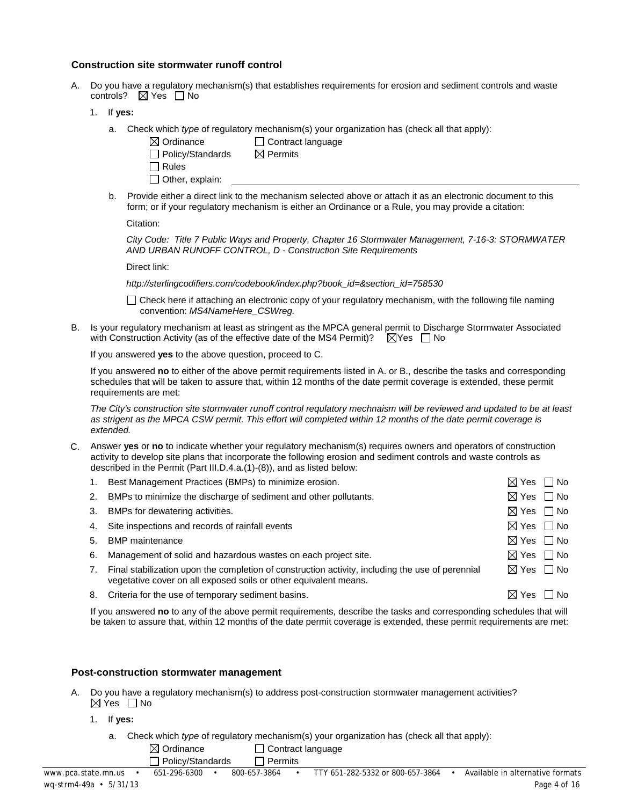#### **Construction site stormwater runoff control**

- A. Do you have a regulatory mechanism(s) that establishes requirements for erosion and sediment controls and waste controls?  $\boxtimes$  Yes  $\Box$  No
	- 1. If **yes:**
		- a. Check which *type* of regulatory mechanism(s) your organization has (check all that apply):
			- $\boxtimes$  Ordinance  $\Box$  Contract language  $\Box$  Policy/Standards  $\boxtimes$  Permits
			- $\Box$  Rules
- 
- 
- 
- 
- 
- $\Box$  Other, explain:
- b. Provide either a direct link to the mechanism selected above or attach it as an electronic document to this
	- form; or if your regulatory mechanism is either an Ordinance or a Rule, you may provide a citation:

Citation:

*City Code: Title 7 Public Ways and Property, Chapter 16 Stormwater Management, 7-16-3: STORMWATER AND URBAN RUNOFF CONTROL, D - Construction Site Requirements*

Direct link:

*http://sterlingcodifiers.com/codebook/index.php?book\_id=&section\_id=758530*

 $\Box$  Check here if attaching an electronic copy of your regulatory mechanism, with the following file naming convention: *MS4NameHere\_CSWreg.*

B. Is your regulatory mechanism at least as stringent as the MPCA general permit to Discharge Stormwater Associated with Construction Activity (as of the effective date of the MS4 Permit)?  $\boxtimes$  Yes  $\Box$  No

If you answered **yes** to the above question, proceed to C.

If you answered **no** to either of the above permit requirements listed in A. or B., describe the tasks and corresponding schedules that will be taken to assure that, within 12 months of the date permit coverage is extended, these permit requirements are met:

*The City's construction site stormwater runoff control requlatory mechnaism will be reviewed and updated to be at least as strigent as the MPCA CSW permit. This effort will completed within 12 months of the date permit coverage is extended.* 

C. Answer **yes** or **no** to indicate whether your regulatory mechanism(s) requires owners and operators of construction activity to develop site plans that incorporate the following erosion and sediment controls and waste controls as described in the Permit (Part III.D.4.a.(1)-(8)), and as listed below:

|    | Best Management Practices (BMPs) to minimize erosion.                                                                                                                | $\boxtimes$ Yes $\Box$ No |      |
|----|----------------------------------------------------------------------------------------------------------------------------------------------------------------------|---------------------------|------|
| 2. | BMPs to minimize the discharge of sediment and other pollutants.                                                                                                     | $\boxtimes$ Yes $\Box$ No |      |
| 3. | BMPs for dewatering activities.                                                                                                                                      | $\boxtimes$ Yes $\Box$ No |      |
|    | 4. Site inspections and records of rainfall events                                                                                                                   | $\boxtimes$ Yes $\Box$ No |      |
| 5. | <b>BMP</b> maintenance                                                                                                                                               | $\boxtimes$ Yes $\Box$ No |      |
| 6. | Management of solid and hazardous wastes on each project site.                                                                                                       | $\boxtimes$ Yes $\Box$ No |      |
|    | Final stabilization upon the completion of construction activity, including the use of perennial<br>vegetative cover on all exposed soils or other equivalent means. | $\boxtimes$ Yes $\Box$ No |      |
| 8. | Criteria for the use of temporary sediment basins.                                                                                                                   | $\boxtimes$ Yes           | l No |

If you answered **no** to any of the above permit requirements, describe the tasks and corresponding schedules that will be taken to assure that, within 12 months of the date permit coverage is extended, these permit requirements are met:

#### **Post-construction stormwater management**

- A. Do you have a regulatory mechanism(s) to address post-construction stormwater management activities?  $\boxtimes$  Yes  $\Box$  No
	- 1. If **yes:**
		- a. Check which *type* of regulatory mechanism(s) your organization has (check all that apply):
			- $\boxtimes$  Ordinance  $\Box$  Contract language  $\Box$  Policy/Standards  $\Box$  Permits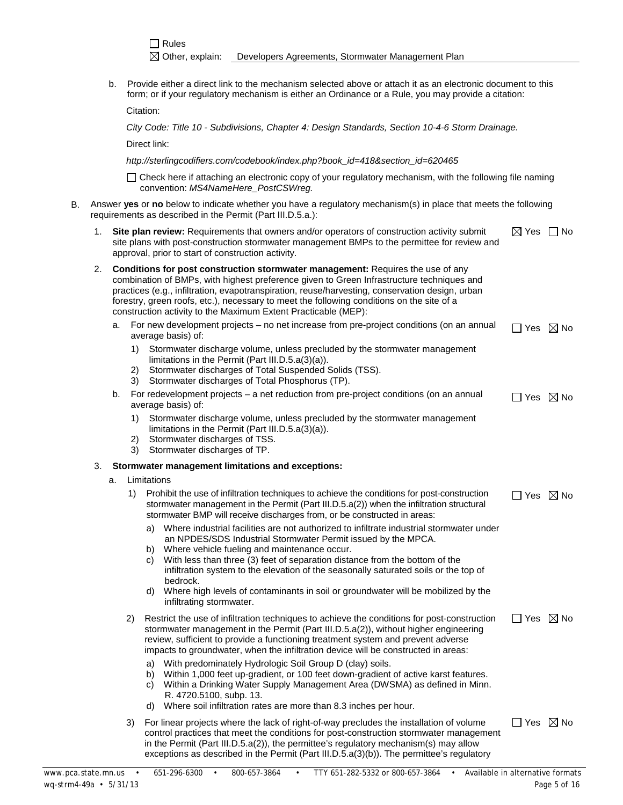b. Provide either a direct link to the mechanism selected above or attach it as an electronic document to this form; or if your regulatory mechanism is either an Ordinance or a Rule, you may provide a citation:

Citation:

*City Code: Title 10 - Subdivisions, Chapter 4: Design Standards, Section 10-4-6 Storm Drainage.*

Direct link:

*http://sterlingcodifiers.com/codebook/index.php?book\_id=418&section\_id=620465*

 $\Box$  Check here if attaching an electronic copy of your regulatory mechanism, with the following file naming convention: *MS4NameHere\_PostCSWreg.*

- B. Answer **yes** or **no** below to indicate whether you have a regulatory mechanism(s) in place that meets the following requirements as described in the Permit (Part III.D.5.a.):
	- 1. **Site plan review:** Requirements that owners and/or operators of construction activity submit site plans with post-construction stormwater management BMPs to the permittee for review and approval, prior to start of construction activity.  $\boxtimes$  Yes  $\Box$  No
	- 2. **Conditions for post construction stormwater management:** Requires the use of any combination of BMPs, with highest preference given to Green Infrastructure techniques and practices (e.g., infiltration, evapotranspiration, reuse/harvesting, conservation design, urban forestry, green roofs, etc.), necessary to meet the following conditions on the site of a construction activity to the Maximum Extent Practicable (MEP):
		- a. For new development projects no net increase from pre-project conditions (on an annual average basis) of:  $\Box$  Yes  $\boxtimes$  No
			- 1) Stormwater discharge volume, unless precluded by the stormwater management limitations in the Permit (Part III.D.5.a(3)(a)).
			- 2) Stormwater discharges of Total Suspended Solids (TSS).
			- 3) Stormwater discharges of Total Phosphorus (TP).
		- b. For redevelopment projects a net reduction from pre-project conditions (on an annual average basis) of:  $\Box$  Yes  $\boxtimes$  No
			- 1) Stormwater discharge volume, unless precluded by the stormwater management limitations in the Permit (Part III.D.5.a(3)(a)).
			- 2) Stormwater discharges of TSS.
			- 3) Stormwater discharges of TP.

#### 3. **Stormwater management limitations and exceptions:**

- a. Limitations
	- 1) Prohibit the use of infiltration techniques to achieve the conditions for post-construction stormwater management in the Permit (Part III.D.5.a(2)) when the infiltration structural stormwater BMP will receive discharges from, or be constructed in areas:  $\Box$  Yes  $\boxtimes$  No
		- a) Where industrial facilities are not authorized to infiltrate industrial stormwater under an NPDES/SDS Industrial Stormwater Permit issued by the MPCA.
		- b) Where vehicle fueling and maintenance occur.
		- c) With less than three (3) feet of separation distance from the bottom of the infiltration system to the elevation of the seasonally saturated soils or the top of bedrock.
		- d) Where high levels of contaminants in soil or groundwater will be mobilized by the infiltrating stormwater.
	- 2) Restrict the use of infiltration techniques to achieve the conditions for post-construction stormwater management in the Permit (Part III.D.5.a(2)), without higher engineering review, sufficient to provide a functioning treatment system and prevent adverse impacts to groundwater, when the infiltration device will be constructed in areas:  $\Box$  Yes  $\boxtimes$  No
		- a) With predominately Hydrologic Soil Group D (clay) soils.
		- b) Within 1,000 feet up-gradient, or 100 feet down-gradient of active karst features.
		- c) Within a Drinking Water Supply Management Area (DWSMA) as defined in Minn. R. 4720.5100, subp. 13.
		- d) Where soil infiltration rates are more than 8.3 inches per hour.
	- 3) For linear projects where the lack of right-of-way precludes the installation of volume control practices that meet the conditions for post-construction stormwater management in the Permit (Part III.D.5.a(2)), the permittee's regulatory mechanism(s) may allow exceptions as described in the Permit (Part III.D.5.a(3)(b)). The permittee's regulatory  $\Box$  Yes  $\boxtimes$  No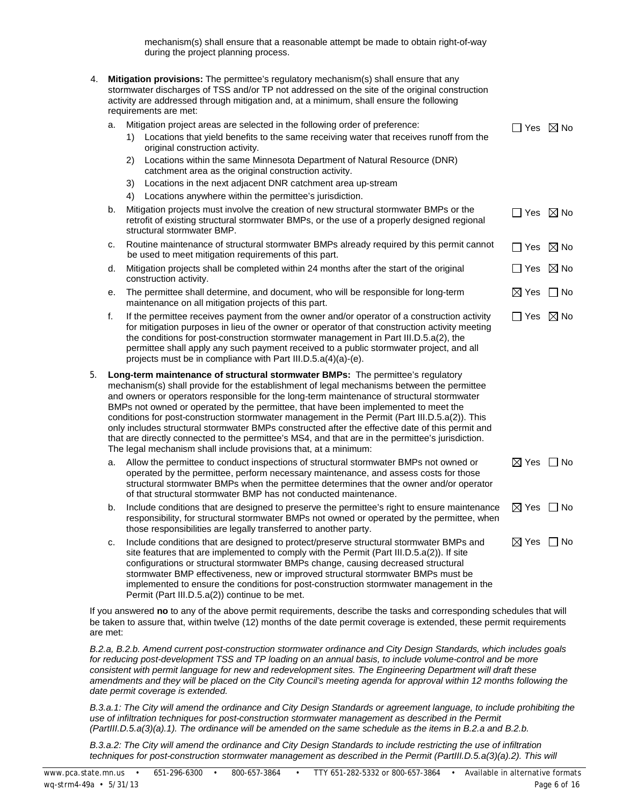mechanism(s) shall ensure that a reasonable attempt be made to obtain right-of-way during the project planning process.

| 4. |    |    | Mitigation provisions: The permittee's regulatory mechanism(s) shall ensure that any<br>stormwater discharges of TSS and/or TP not addressed on the site of the original construction<br>activity are addressed through mitigation and, at a minimum, shall ensure the following<br>requirements are met:                                                                                                                                                                                                                                                                                                                                                                                                                                         |                           |  |
|----|----|----|---------------------------------------------------------------------------------------------------------------------------------------------------------------------------------------------------------------------------------------------------------------------------------------------------------------------------------------------------------------------------------------------------------------------------------------------------------------------------------------------------------------------------------------------------------------------------------------------------------------------------------------------------------------------------------------------------------------------------------------------------|---------------------------|--|
|    | a. |    | Mitigation project areas are selected in the following order of preference:                                                                                                                                                                                                                                                                                                                                                                                                                                                                                                                                                                                                                                                                       | $\Box$ Yes $\boxtimes$ No |  |
|    |    | 1) | Locations that yield benefits to the same receiving water that receives runoff from the<br>original construction activity.                                                                                                                                                                                                                                                                                                                                                                                                                                                                                                                                                                                                                        |                           |  |
|    |    | 2) | Locations within the same Minnesota Department of Natural Resource (DNR)<br>catchment area as the original construction activity.                                                                                                                                                                                                                                                                                                                                                                                                                                                                                                                                                                                                                 |                           |  |
|    |    | 3) | Locations in the next adjacent DNR catchment area up-stream                                                                                                                                                                                                                                                                                                                                                                                                                                                                                                                                                                                                                                                                                       |                           |  |
|    |    | 4) | Locations anywhere within the permittee's jurisdiction.                                                                                                                                                                                                                                                                                                                                                                                                                                                                                                                                                                                                                                                                                           |                           |  |
|    | b. |    | Mitigation projects must involve the creation of new structural stormwater BMPs or the<br>retrofit of existing structural stormwater BMPs, or the use of a properly designed regional<br>structural stormwater BMP.                                                                                                                                                                                                                                                                                                                                                                                                                                                                                                                               | $\Box$ Yes $\boxtimes$ No |  |
|    | c. |    | Routine maintenance of structural stormwater BMPs already required by this permit cannot<br>be used to meet mitigation requirements of this part.                                                                                                                                                                                                                                                                                                                                                                                                                                                                                                                                                                                                 | $\Box$ Yes $\boxtimes$ No |  |
|    | d. |    | Mitigation projects shall be completed within 24 months after the start of the original<br>construction activity.                                                                                                                                                                                                                                                                                                                                                                                                                                                                                                                                                                                                                                 | $\Box$ Yes $\boxtimes$ No |  |
|    | е. |    | The permittee shall determine, and document, who will be responsible for long-term<br>maintenance on all mitigation projects of this part.                                                                                                                                                                                                                                                                                                                                                                                                                                                                                                                                                                                                        | $\boxtimes$ Yes $\Box$ No |  |
|    | f. |    | If the permittee receives payment from the owner and/or operator of a construction activity<br>for mitigation purposes in lieu of the owner or operator of that construction activity meeting<br>the conditions for post-construction stormwater management in Part III.D.5.a(2), the<br>permittee shall apply any such payment received to a public stormwater project, and all<br>projects must be in compliance with Part III.D.5.a(4)(a)-(e).                                                                                                                                                                                                                                                                                                 | $\Box$ Yes $\boxtimes$ No |  |
| 5. |    |    | Long-term maintenance of structural stormwater BMPs: The permittee's regulatory<br>mechanism(s) shall provide for the establishment of legal mechanisms between the permittee<br>and owners or operators responsible for the long-term maintenance of structural stormwater<br>BMPs not owned or operated by the permittee, that have been implemented to meet the<br>conditions for post-construction stormwater management in the Permit (Part III.D.5.a(2)). This<br>only includes structural stormwater BMPs constructed after the effective date of this permit and<br>that are directly connected to the permittee's MS4, and that are in the permittee's jurisdiction.<br>The legal mechanism shall include provisions that, at a minimum: |                           |  |
|    | a. |    | Allow the permittee to conduct inspections of structural stormwater BMPs not owned or<br>operated by the permittee, perform necessary maintenance, and assess costs for those<br>structural stormwater BMPs when the permittee determines that the owner and/or operator<br>of that structural stormwater BMP has not conducted maintenance.                                                                                                                                                                                                                                                                                                                                                                                                      | $\boxtimes$ Yes $\Box$ No |  |
|    | b. |    | Include conditions that are designed to preserve the permittee's right to ensure maintenance<br>responsibility, for structural stormwater BMPs not owned or operated by the permittee, when<br>those responsibilities are legally transferred to another party.                                                                                                                                                                                                                                                                                                                                                                                                                                                                                   | $\boxtimes$ Yes $\Box$ No |  |
|    | c. |    | Include conditions that are designed to protect/preserve structural stormwater BMPs and<br>site features that are implemented to comply with the Permit (Part III.D.5.a(2)). If site<br>configurations or structural stormwater BMPs change, causing decreased structural<br>stormwater BMP effectiveness, new or improved structural stormwater BMPs must be<br>implemented to ensure the conditions for post-construction stormwater management in the<br>Permit (Part III.D.5.a(2)) continue to be met.                                                                                                                                                                                                                                        | $\boxtimes$ Yes $\Box$ No |  |

If you answered **no** to any of the above permit requirements, describe the tasks and corresponding schedules that will be taken to assure that, within twelve (12) months of the date permit coverage is extended, these permit requirements are met:

*B.2.a, B.2.b. Amend current post-construction stormwater ordinance and City Design Standards, which includes goals for reducing post-development TSS and TP loading on an annual basis, to include volume-control and be more consistent with permit language for new and redevelopment sites. The Engineering Department will draft these amendments and they will be placed on the City Council's meeting agenda for approval within 12 months following the date permit coverage is extended.*

*B.3.a.1: The City will amend the ordinance and City Design Standards or agreement language, to include prohibiting the use of infiltration techniques for post-construction stormwater management as described in the Permit (PartIII.D.5.a(3)(a).1). The ordinance will be amended on the same schedule as the items in B.2.a and B.2.b.*

*B.3.a.2: The City will amend the ordinance and City Design Standards to include restricting the use of infiltration techniques for post-construction stormwater management as described in the Permit (PartIII.D.5.a(3)(a).2). This will*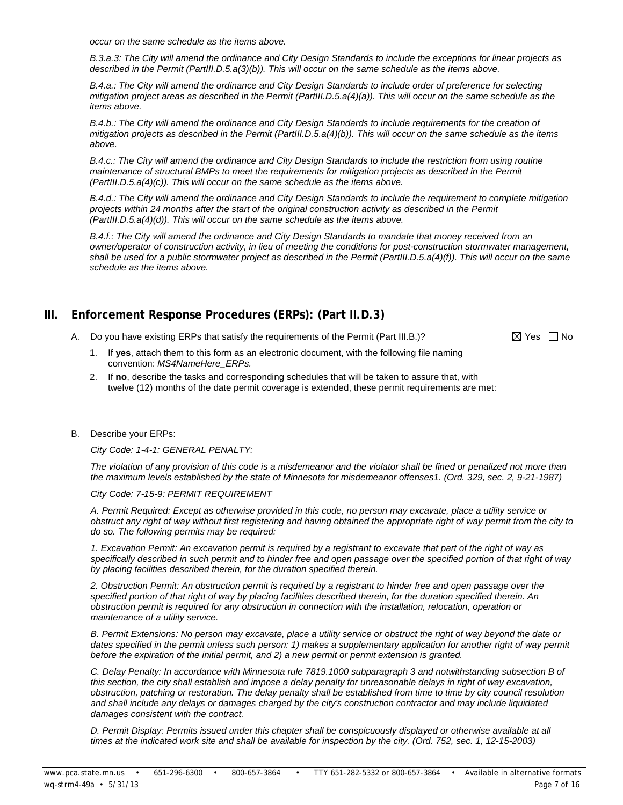*occur on the same schedule as the items above.*

*B.3.a.3: The City will amend the ordinance and City Design Standards to include the exceptions for linear projects as described in the Permit (PartIII.D.5.a(3)(b)). This will occur on the same schedule as the items above.*

*B.4.a.: The City will amend the ordinance and City Design Standards to include order of preference for selecting mitigation project areas as described in the Permit (PartIII.D.5.a(4)(a)). This will occur on the same schedule as the items above.*

*B.4.b.: The City will amend the ordinance and City Design Standards to include requirements for the creation of mitigation projects as described in the Permit (PartIII.D.5.a(4)(b)). This will occur on the same schedule as the items above.*

*B.4.c.: The City will amend the ordinance and City Design Standards to include the restriction from using routine maintenance of structural BMPs to meet the requirements for mitigation projects as described in the Permit (PartIII.D.5.a(4)(c)). This will occur on the same schedule as the items above.*

*B.4.d.: The City will amend the ordinance and City Design Standards to include the requirement to complete mitigation projects within 24 months after the start of the original construction activity as described in the Permit (PartIII.D.5.a(4)(d)). This will occur on the same schedule as the items above.*

*B.4.f.: The City will amend the ordinance and City Design Standards to mandate that money received from an owner/operator of construction activity, in lieu of meeting the conditions for post-construction stormwater management, shall be used for a public stormwater project as described in the Permit (PartIII.D.5.a(4)(f)). This will occur on the same schedule as the items above.*

# **III. Enforcement Response Procedures (ERPs): (Part II.D.3)**

A. Do you have existing ERPs that satisfy the requirements of the Permit (Part III.B.)?  $\boxtimes$  Yes  $\Box$  No

- 1. If **yes**, attach them to this form as an electronic document, with the following file naming convention: *MS4NameHere\_ERPs.*
- 2. If **no**, describe the tasks and corresponding schedules that will be taken to assure that, with twelve (12) months of the date permit coverage is extended, these permit requirements are met:

#### B. Describe your ERPs:

*City Code: 1-4-1: GENERAL PENALTY:*

*The violation of any provision of this code is a misdemeanor and the violator shall be fined or penalized not more than the maximum levels established by the state of Minnesota for misdemeanor offenses1. (Ord. 329, sec. 2, 9-21-1987)*

#### *City Code: 7-15-9: PERMIT REQUIREMENT*

*A. Permit Required: Except as otherwise provided in this code, no person may excavate, place a utility service or obstruct any right of way without first registering and having obtained the appropriate right of way permit from the city to do so. The following permits may be required:*

*1. Excavation Permit: An excavation permit is required by a registrant to excavate that part of the right of way as specifically described in such permit and to hinder free and open passage over the specified portion of that right of way by placing facilities described therein, for the duration specified therein.*

*2. Obstruction Permit: An obstruction permit is required by a registrant to hinder free and open passage over the specified portion of that right of way by placing facilities described therein, for the duration specified therein. An obstruction permit is required for any obstruction in connection with the installation, relocation, operation or maintenance of a utility service.*

*B. Permit Extensions: No person may excavate, place a utility service or obstruct the right of way beyond the date or*  dates specified in the permit unless such person: 1) makes a supplementary application for another right of way permit *before the expiration of the initial permit, and 2) a new permit or permit extension is granted.*

*C. Delay Penalty: In accordance with Minnesota rule 7819.1000 subparagraph 3 and notwithstanding subsection B of*  this section, the city shall establish and impose a delay penalty for unreasonable delays in right of way excavation, *obstruction, patching or restoration. The delay penalty shall be established from time to time by city council resolution*  and shall include any delays or damages charged by the city's construction contractor and may include liquidated *damages consistent with the contract.*

*D. Permit Display: Permits issued under this chapter shall be conspicuously displayed or otherwise available at all times at the indicated work site and shall be available for inspection by the city. (Ord. 752, sec. 1, 12-15-2003)*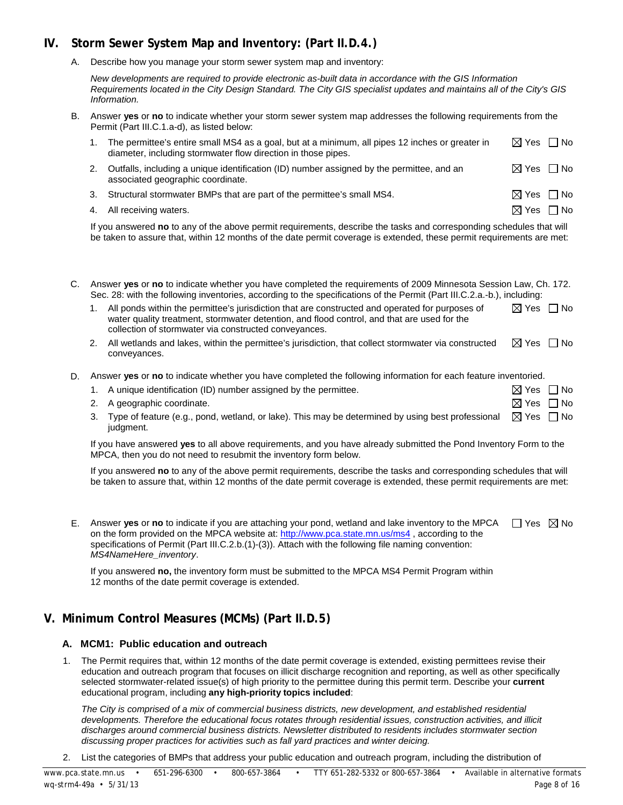# **IV. Storm Sewer System Map and Inventory: (Part II.D.4.)**

A. Describe how you manage your storm sewer system map and inventory:

*New developments are required to provide electronic as-built data in accordance with the GIS Information Requirements located in the City Design Standard. The City GIS specialist updates and maintains all of the City's GIS Information.*

B. Answer **yes** or **no** to indicate whether your storm sewer system map addresses the following requirements from the Permit (Part III.C.1.a-d), as listed below:

| The permittee's entire small MS4 as a goal, but at a minimum, all pipes 12 inches or greater in | ⊠ Yes □ No |  |
|-------------------------------------------------------------------------------------------------|------------|--|
| diameter, including stormwater flow direction in those pipes.                                   |            |  |
| 2. Outfalls, including a unique identification (ID) number assigned by the permittee, and an    | ⊠ Yes コNo  |  |

- associated geographic coordinate. 3. Structural stormwater BMPs that are part of the permittee's small MS4.  $\boxtimes$  Yes  $\Box$  No
	- 4. All receiving waters.  $\Box$  No

If you answered **no** to any of the above permit requirements, describe the tasks and corresponding schedules that will be taken to assure that, within 12 months of the date permit coverage is extended, these permit requirements are met:

| C. Answer yes or no to indicate whether you have completed the requirements of 2009 Minnesota Session Law, Ch. 172.     |
|-------------------------------------------------------------------------------------------------------------------------|
| Sec. 28: with the following inventories, according to the specifications of the Permit (Part III.C.2.a.-b.), including: |

| 1. All ponds within the permittee's jurisdiction that are constructed and operated for purposes of<br>water quality treatment, stormwater detention, and flood control, and that are used for the<br>collection of stormwater via constructed conveyances. | $\boxtimes$ Yes $\Box$ No |  |
|------------------------------------------------------------------------------------------------------------------------------------------------------------------------------------------------------------------------------------------------------------|---------------------------|--|
| the contract of the contract of the contract of the contract of the contract of the contract of the contract of                                                                                                                                            | .                         |  |

- 2. All wetlands and lakes, within the permittee's jurisdiction, that collect stormwater via constructed conveyances.  $\boxtimes$  Yes  $\Box$  No
- D. Answer **yes** or **no** to indicate whether you have completed the following information for each feature inventoried.

| 1. A unique identification (ID) number assigned by the permittee.                                                         | $\boxtimes$ Yes $\,\square\,$ No |  |
|---------------------------------------------------------------------------------------------------------------------------|----------------------------------|--|
| 2. A geographic coordinate.                                                                                               | $\boxtimes$ Yes $\;\;\Box$ No    |  |
| 3. Type of feature (e.g., pond, wetland, or lake). This may be determined by using best professional $\Box$ Yes $\Box$ No |                                  |  |
| judgment.                                                                                                                 |                                  |  |

If you have answered **yes** to all above requirements, and you have already submitted the Pond Inventory Form to the MPCA, then you do not need to resubmit the inventory form below.

If you answered **no** to any of the above permit requirements, describe the tasks and corresponding schedules that will be taken to assure that, within 12 months of the date permit coverage is extended, these permit requirements are met:

E. Answer yes or no to indicate if you are attaching your pond, wetland and lake inventory to the MPCA  $\Box$  Yes  $\boxtimes$  No on the form provided on the MPCA website at[: http://www.pca.state.mn.us/ms4](http://www.pca.state.mn.us/ms4) , according to the specifications of Permit (Part III.C.2.b.(1)-(3)). Attach with the following file naming convention: *MS4NameHere\_inventory*.

If you answered **no,** the inventory form must be submitted to the MPCA MS4 Permit Program within 12 months of the date permit coverage is extended.

# **V. Minimum Control Measures (MCMs) (Part II.D.5)**

## **A. MCM1: Public education and outreach**

1. The Permit requires that, within 12 months of the date permit coverage is extended, existing permittees revise their education and outreach program that focuses on illicit discharge recognition and reporting, as well as other specifically selected stormwater-related issue(s) of high priority to the permittee during this permit term. Describe your **current** educational program, including **any high-priority topics included**:

*The City is comprised of a mix of commercial business districts, new development, and established residential developments. Therefore the educational focus rotates through residential issues, construction activities, and illicit discharges around commercial business districts. Newsletter distributed to residents includes stormwater section discussing proper practices for activities such as fall yard practices and winter deicing.* 

2. List the categories of BMPs that address your public education and outreach program, including the distribution of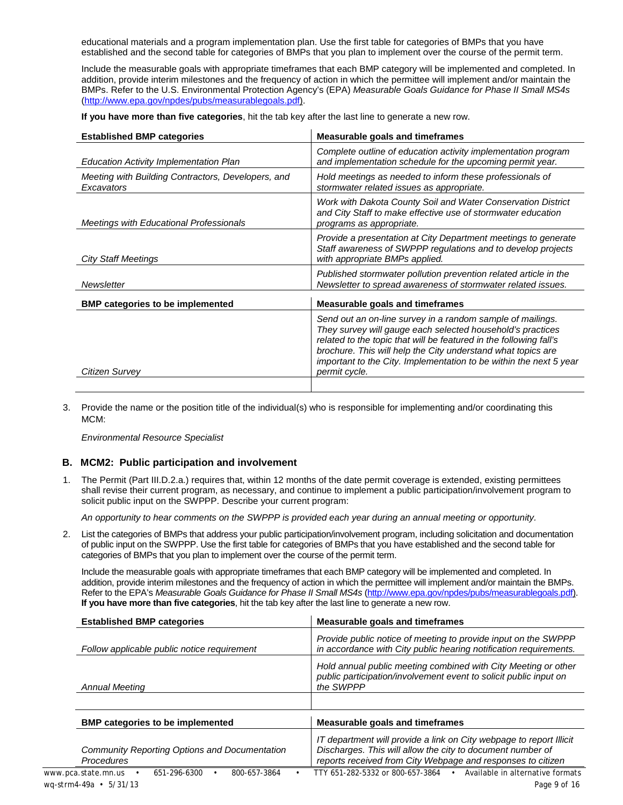educational materials and a program implementation plan. Use the first table for categories of BMPs that you have established and the second table for categories of BMPs that you plan to implement over the course of the permit term.

Include the measurable goals with appropriate timeframes that each BMP category will be implemented and completed. In addition, provide interim milestones and the frequency of action in which the permittee will implement and/or maintain the BMPs. Refer to the U.S. Environmental Protection Agency's (EPA) *Measurable Goals Guidance for Phase II Small MS4s* [\(http://www.epa.gov/npdes/pubs/measurablegoals.pdf\)](http://www.epa.gov/npdes/pubs/measurablegoals.pdf).

**If you have more than five categories**, hit the tab key after the last line to generate a new row.

| <b>Established BMP categories</b>                                | <b>Measurable goals and timeframes</b>                                                                                                                                                                                                                                                                                                                |
|------------------------------------------------------------------|-------------------------------------------------------------------------------------------------------------------------------------------------------------------------------------------------------------------------------------------------------------------------------------------------------------------------------------------------------|
| <b>Education Activity Implementation Plan</b>                    | Complete outline of education activity implementation program<br>and implementation schedule for the upcoming permit year.                                                                                                                                                                                                                            |
| Meeting with Building Contractors, Developers, and<br>Excavators | Hold meetings as needed to inform these professionals of<br>stormwater related issues as appropriate.                                                                                                                                                                                                                                                 |
| <b>Meetings with Educational Professionals</b>                   | Work with Dakota County Soil and Water Conservation District<br>and City Staff to make effective use of stormwater education<br>programs as appropriate.                                                                                                                                                                                              |
| City Staff Meetings                                              | Provide a presentation at City Department meetings to generate<br>Staff awareness of SWPPP regulations and to develop projects<br>with appropriate BMPs applied.                                                                                                                                                                                      |
| Newsletter                                                       | Published stormwater pollution prevention related article in the<br>Newsletter to spread awareness of stormwater related issues.                                                                                                                                                                                                                      |
| <b>BMP</b> categories to be implemented                          | <b>Measurable goals and timeframes</b>                                                                                                                                                                                                                                                                                                                |
| Citizen Survey                                                   | Send out an on-line survey in a random sample of mailings.<br>They survey will gauge each selected household's practices<br>related to the topic that will be featured in the following fall's<br>brochure. This will help the City understand what topics are<br>important to the City. Implementation to be within the next 5 year<br>permit cycle. |
|                                                                  |                                                                                                                                                                                                                                                                                                                                                       |

3. Provide the name or the position title of the individual(s) who is responsible for implementing and/or coordinating this MCM:

*Environmental Resource Specialist*

#### **B. MCM2: Public participation and involvement**

1. The Permit (Part III.D.2.a.) requires that, within 12 months of the date permit coverage is extended, existing permittees shall revise their current program, as necessary, and continue to implement a public participation/involvement program to solicit public input on the SWPPP. Describe your current program:

*An opportunity to hear comments on the SWPPP is provided each year during an annual meeting or opportunity.*

2. List the categories of BMPs that address your public participation/involvement program, including solicitation and documentation of public input on the SWPPP. Use the first table for categories of BMPs that you have established and the second table for categories of BMPs that you plan to implement over the course of the permit term.

Include the measurable goals with appropriate timeframes that each BMP category will be implemented and completed. In addition, provide interim milestones and the frequency of action in which the permittee will implement and/or maintain the BMPs. Refer to the EPA's *Measurable Goals Guidance for Phase II Small MS4s* [\(http://www.epa.gov/npdes/pubs/measurablegoals.pdf\)](http://www.epa.gov/npdes/pubs/measurablegoals.pdf). **If you have more than five categories**, hit the tab key after the last line to generate a new row.

| <b>Established BMP categories</b>           | Measurable goals and timeframes                                                                                                                  |
|---------------------------------------------|--------------------------------------------------------------------------------------------------------------------------------------------------|
| Follow applicable public notice requirement | Provide public notice of meeting to provide input on the SWPPP<br>in accordance with City public hearing notification requirements.              |
| <b>Annual Meeting</b>                       | Hold annual public meeting combined with City Meeting or other<br>public participation/involvement event to solicit public input on<br>the SWPPP |
|                                             |                                                                                                                                                  |

| <b>BMP categories to be implemented</b>                            |  | <b>Measurable goals and timeframes</b>                                            |  |  |  |
|--------------------------------------------------------------------|--|-----------------------------------------------------------------------------------|--|--|--|
| Community Reporting Options and Documentation<br><b>Procedures</b> |  |                                                                                   |  |  |  |
| 800-657-3864<br>www.pca.state.mn.us<br>651-296-6300                |  | Available in alternative formats<br>TTY 651-282-5332 or 800-657-3864<br>$\bullet$ |  |  |  |
| wg-strm4-49a • 5/31/13                                             |  | Page 9 of 16                                                                      |  |  |  |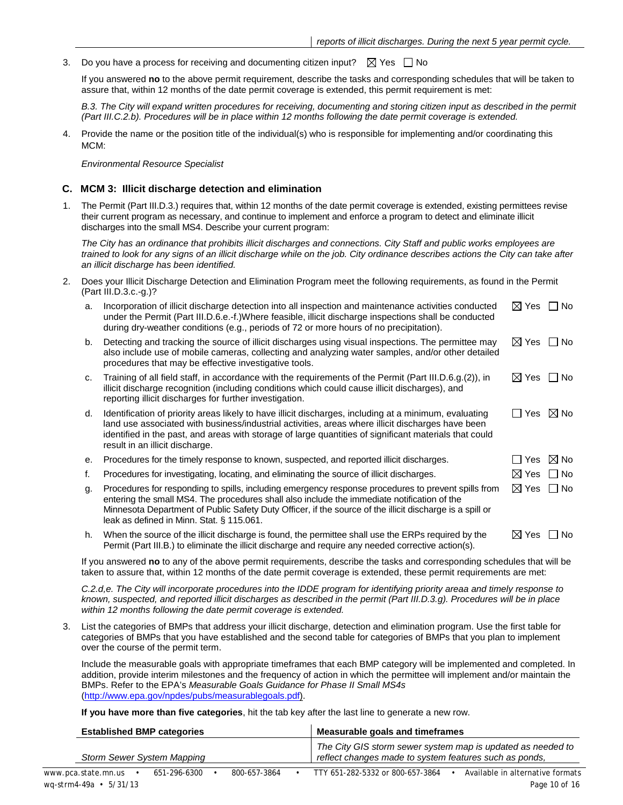3. Do you have a process for receiving and documenting citizen input?  $\boxtimes$  Yes  $\Box$  No

If you answered **no** to the above permit requirement, describe the tasks and corresponding schedules that will be taken to assure that, within 12 months of the date permit coverage is extended, this permit requirement is met:

*B.3. The City will expand written procedures for receiving, documenting and storing citizen input as described in the permit (Part III.C.2.b). Procedures will be in place within 12 months following the date permit coverage is extended.*

4. Provide the name or the position title of the individual(s) who is responsible for implementing and/or coordinating this MCM:

*Environmental Resource Specialist*

#### **C. MCM 3: Illicit discharge detection and elimination**

1. The Permit (Part III.D.3.) requires that, within 12 months of the date permit coverage is extended, existing permittees revise their current program as necessary, and continue to implement and enforce a program to detect and eliminate illicit discharges into the small MS4. Describe your current program:

*The City has an ordinance that prohibits illicit discharges and connections. City Staff and public works employees are trained to look for any signs of an illicit discharge while on the job. City ordinance describes actions the City can take after an illicit discharge has been identified.*

2. Does your Illicit Discharge Detection and Elimination Program meet the following requirements, as found in the Permit (Part III.D.3.c.-g.)?

| a. | Incorporation of illicit discharge detection into all inspection and maintenance activities conducted<br>under the Permit (Part III.D.6.e.-f.)Where feasible, illicit discharge inspections shall be conducted<br>during dry-weather conditions (e.g., periods of 72 or more hours of no precipitation).                                                    | $\boxtimes$ Yes $\Box$ No |                    |
|----|-------------------------------------------------------------------------------------------------------------------------------------------------------------------------------------------------------------------------------------------------------------------------------------------------------------------------------------------------------------|---------------------------|--------------------|
| b. | Detecting and tracking the source of illicit discharges using visual inspections. The permittee may<br>also include use of mobile cameras, collecting and analyzing water samples, and/or other detailed<br>procedures that may be effective investigative tools.                                                                                           | $\boxtimes$ Yes           | l No               |
| C. | Training of all field staff, in accordance with the requirements of the Permit (Part III.D.6.g.(2)), in<br>illicit discharge recognition (including conditions which could cause illicit discharges), and<br>reporting illicit discharges for further investigation.                                                                                        | $\boxtimes$ Yes $\Box$ No |                    |
| d. | Identification of priority areas likely to have illicit discharges, including at a minimum, evaluating<br>land use associated with business/industrial activities, areas where illicit discharges have been<br>identified in the past, and areas with storage of large quantities of significant materials that could<br>result in an illicit discharge.    | $\Box$ Yes $\boxtimes$ No |                    |
| е. | Procedures for the timely response to known, suspected, and reported illicit discharges.                                                                                                                                                                                                                                                                    |                           | Yes $\boxtimes$ No |
| f. | Procedures for investigating, locating, and eliminating the source of illicit discharges.                                                                                                                                                                                                                                                                   | $\boxtimes$ Yes           | □ No               |
| g. | Procedures for responding to spills, including emergency response procedures to prevent spills from<br>entering the small MS4. The procedures shall also include the immediate notification of the<br>Minnesota Department of Public Safety Duty Officer, if the source of the illicit discharge is a spill or<br>leak as defined in Minn. Stat. § 115.061. | $\boxtimes$ Yes $\Box$ No |                    |
| h. | When the source of the illicit discharge is found, the permittee shall use the ERPs required by the<br>Permit (Part III.B.) to eliminate the illicit discharge and require any needed corrective action(s).                                                                                                                                                 | ⊠ Yes                     | l INo              |
|    |                                                                                                                                                                                                                                                                                                                                                             |                           |                    |

If you answered **no** to any of the above permit requirements, describe the tasks and corresponding schedules that will be taken to assure that, within 12 months of the date permit coverage is extended, these permit requirements are met:

*C.2.d,e. The City will incorporate procedures into the IDDE program for identifying priority areaa and timely response to known, suspected, and reported illicit discharges as described in the permit (Part III.D.3.g). Procedures will be in place within 12 months following the date permit coverage is extended.*

3. List the categories of BMPs that address your illicit discharge, detection and elimination program. Use the first table for categories of BMPs that you have established and the second table for categories of BMPs that you plan to implement over the course of the permit term.

Include the measurable goals with appropriate timeframes that each BMP category will be implemented and completed. In addition, provide interim milestones and the frequency of action in which the permittee will implement and/or maintain the BMPs. Refer to the EPA's *Measurable Goals Guidance for Phase II Small MS4s* [\(http://www.epa.gov/npdes/pubs/measurablegoals.pdf\)](http://www.epa.gov/npdes/pubs/measurablegoals.pdf).

**If you have more than five categories**, hit the tab key after the last line to generate a new row.

| <b>Established BMP categories</b>          |                            |  | Measurable goals and timeframes |  |                                                                                                                       |  |                                  |  |
|--------------------------------------------|----------------------------|--|---------------------------------|--|-----------------------------------------------------------------------------------------------------------------------|--|----------------------------------|--|
|                                            | Storm Sewer System Mapping |  |                                 |  | The City GIS storm sewer system map is updated as needed to<br>reflect changes made to system features such as ponds, |  |                                  |  |
| www.pca.state.mn.us                        | 651-296-6300               |  | 800-657-3864                    |  | TTY 651-282-5332 or 800-657-3864                                                                                      |  | Available in alternative formats |  |
| $wq\text{-}strm4\text{-}49a \cdot 5/31/13$ |                            |  |                                 |  |                                                                                                                       |  | Page 10 of 16                    |  |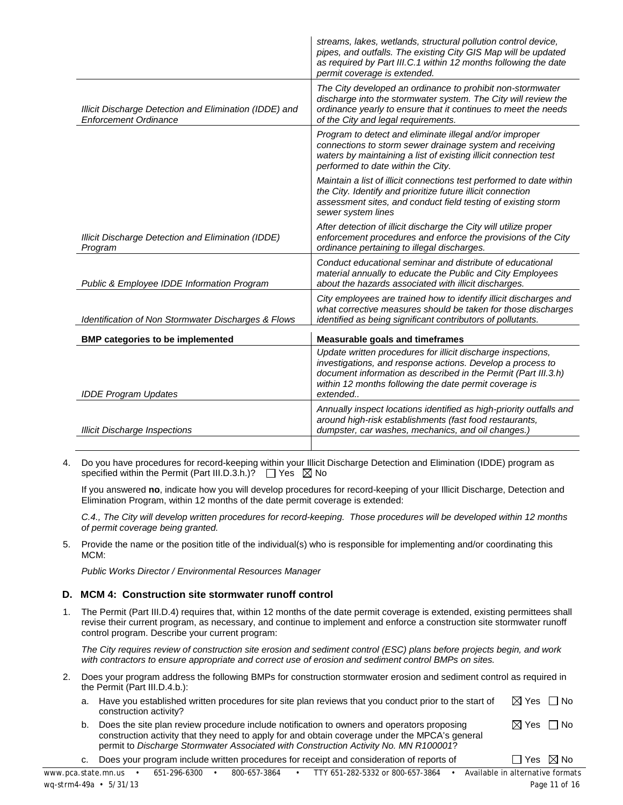|                                                                                        | streams, lakes, wetlands, structural pollution control device,<br>pipes, and outfalls. The existing City GIS Map will be updated<br>as required by Part III.C.1 within 12 months following the date<br>permit coverage is extended.                                |
|----------------------------------------------------------------------------------------|--------------------------------------------------------------------------------------------------------------------------------------------------------------------------------------------------------------------------------------------------------------------|
| Illicit Discharge Detection and Elimination (IDDE) and<br><b>Enforcement Ordinance</b> | The City developed an ordinance to prohibit non-stormwater<br>discharge into the stormwater system. The City will review the<br>ordinance yearly to ensure that it continues to meet the needs<br>of the City and legal requirements.                              |
|                                                                                        | Program to detect and eliminate illegal and/or improper<br>connections to storm sewer drainage system and receiving<br>waters by maintaining a list of existing illicit connection test<br>performed to date within the City.                                      |
|                                                                                        | Maintain a list of illicit connections test performed to date within<br>the City. Identify and prioritize future illicit connection<br>assessment sites, and conduct field testing of existing storm<br>sewer system lines                                         |
| Illicit Discharge Detection and Elimination (IDDE)<br>Program                          | After detection of illicit discharge the City will utilize proper<br>enforcement procedures and enforce the provisions of the City<br>ordinance pertaining to illegal discharges.                                                                                  |
| <b>Public &amp; Employee IDDE Information Program</b>                                  | Conduct educational seminar and distribute of educational<br>material annually to educate the Public and City Employees<br>about the hazards associated with illicit discharges.                                                                                   |
| <b>Identification of Non Stormwater Discharges &amp; Flows</b>                         | City employees are trained how to identify illicit discharges and<br>what corrective measures should be taken for those discharges<br>identified as being significant contributors of pollutants.                                                                  |
| <b>BMP categories to be implemented</b>                                                | <b>Measurable goals and timeframes</b>                                                                                                                                                                                                                             |
| <b>IDDE Program Updates</b>                                                            | Update written procedures for illicit discharge inspections,<br>investigations, and response actions. Develop a process to<br>document information as described in the Permit (Part III.3.h)<br>within 12 months following the date permit coverage is<br>extended |
| <b>Illicit Discharge Inspections</b>                                                   | Annually inspect locations identified as high-priority outfalls and<br>around high-risk establishments (fast food restaurants,<br>dumpster, car washes, mechanics, and oil changes.)                                                                               |
|                                                                                        |                                                                                                                                                                                                                                                                    |

4. Do you have procedures for record-keeping within your Illicit Discharge Detection and Elimination (IDDE) program as specified within the Permit (Part III.D.3.h.)?  $\Box$  Yes  $\boxtimes$  No

If you answered **no**, indicate how you will develop procedures for record-keeping of your Illicit Discharge, Detection and Elimination Program, within 12 months of the date permit coverage is extended:

*C.4., The City will develop written procedures for record-keeping. Those procedures will be developed within 12 months of permit coverage being granted.* 

5. Provide the name or the position title of the individual(s) who is responsible for implementing and/or coordinating this MCM:

*Public Works Director / Environmental Resources Manager* 

#### **D. MCM 4: Construction site stormwater runoff control**

1. The Permit (Part III.D.4) requires that, within 12 months of the date permit coverage is extended, existing permittees shall revise their current program, as necessary, and continue to implement and enforce a construction site stormwater runoff control program. Describe your current program:

*The City requires review of construction site erosion and sediment control (ESC) plans before projects begin, and work with contractors to ensure appropriate and correct use of erosion and sediment control BMPs on sites.* 

- 2. Does your program address the following BMPs for construction stormwater erosion and sediment control as required in the Permit (Part III.D.4.b.):
	- a. Have you established written procedures for site plan reviews that you conduct prior to the start of construction activity?  $\boxtimes$  Yes  $\Box$  No
	- b. Does the site plan review procedure include notification to owners and operators proposing construction activity that they need to apply for and obtain coverage under the MPCA's general permit to *Discharge Stormwater Associated with Construction Activity No. MN R100001*?  $\boxtimes$  Yes  $\Box$  No

c. Does your program include written procedures for receipt and consideration of reports of  $\Box$  Yes  $\boxtimes$  No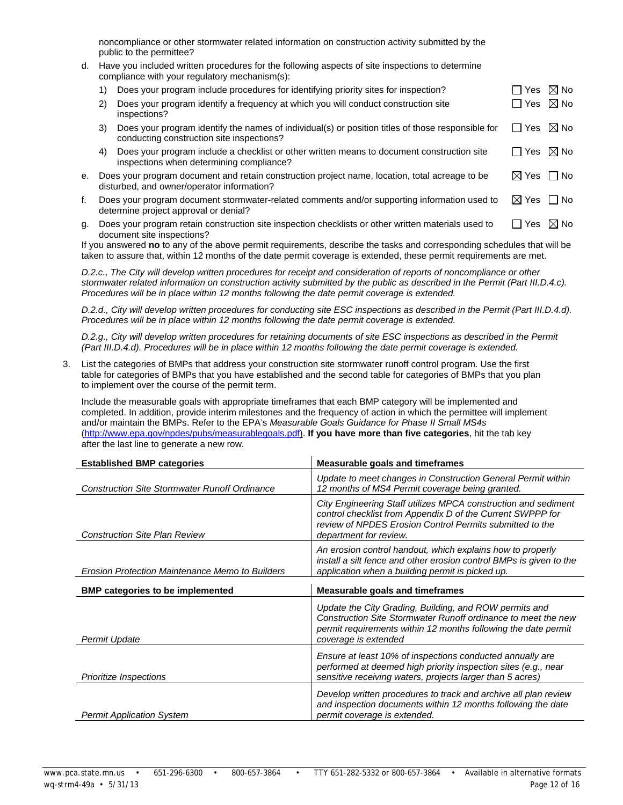noncompliance or other stormwater related information on construction activity submitted by the public to the permittee?

d. Have you included written procedures for the following aspects of site inspections to determine compliance with your regulatory mechanism(s):

|    |    | Does your program include procedures for identifying priority sites for inspection?                                                            | l Yes           | $\boxtimes$ No |
|----|----|------------------------------------------------------------------------------------------------------------------------------------------------|-----------------|----------------|
|    | 2) | Does your program identify a frequency at which you will conduct construction site<br>inspections?                                             | ∏ Yes           | $\boxtimes$ No |
|    | 3) | Does your program identify the names of individual(s) or position titles of those responsible for<br>conducting construction site inspections? | $\Box$ Yes      | $\boxtimes$ No |
|    | 4) | Does your program include a checklist or other written means to document construction site<br>inspections when determining compliance?         | ∣ I Yes         | $\boxtimes$ No |
| е. |    | Does your program document and retain construction project name, location, total acreage to be<br>disturbed, and owner/operator information?   | ⊠ Yes コNo       |                |
| f. |    | Does your program document stormwater-related comments and/or supporting information used to<br>determine project approval or denial?          | $\boxtimes$ Yes | $\Box$ No      |
| g. |    | Does your program retain construction site inspection checklists or other written materials used to                                            | ⊟ Yes           | $\boxtimes$ No |

document site inspections? If you answered **no** to any of the above permit requirements, describe the tasks and corresponding schedules that will be taken to assure that, within 12 months of the date permit coverage is extended, these permit requirements are met.

*D.2.c., The City will develop written procedures for receipt and consideration of reports of noncompliance or other stormwater related information on construction activity submitted by the public as described in the Permit (Part III.D.4.c). Procedures will be in place within 12 months following the date permit coverage is extended.*

*D.2.d., City will develop written procedures for conducting site ESC inspections as described in the Permit (Part III.D.4.d). Procedures will be in place within 12 months following the date permit coverage is extended.*

*D.2.g., City will develop written procedures for retaining documents of site ESC inspections as described in the Permit (Part III.D.4.d). Procedures will be in place within 12 months following the date permit coverage is extended.*

3. List the categories of BMPs that address your construction site stormwater runoff control program. Use the first table for categories of BMPs that you have established and the second table for categories of BMPs that you plan to implement over the course of the permit term.

Include the measurable goals with appropriate timeframes that each BMP category will be implemented and completed. In addition, provide interim milestones and the frequency of action in which the permittee will implement and/or maintain the BMPs. Refer to the EPA's *Measurable Goals Guidance for Phase II Small MS4s* [\(http://www.epa.gov/npdes/pubs/measurablegoals.pdf\)](http://www.epa.gov/npdes/pubs/measurablegoals.pdf). **If you have more than five categories**, hit the tab key after the last line to generate a new row.

| <b>Established BMP categories</b>                    | <b>Measurable goals and timeframes</b>                                                                                                                                                                             |
|------------------------------------------------------|--------------------------------------------------------------------------------------------------------------------------------------------------------------------------------------------------------------------|
| <b>Construction Site Stormwater Runoff Ordinance</b> | Update to meet changes in Construction General Permit within<br>12 months of MS4 Permit coverage being granted.                                                                                                    |
| <b>Construction Site Plan Review</b>                 | City Engineering Staff utilizes MPCA construction and sediment<br>control checklist from Appendix D of the Current SWPPP for<br>review of NPDES Erosion Control Permits submitted to the<br>department for review. |
| Erosion Protection Maintenance Memo to Builders      | An erosion control handout, which explains how to properly<br>install a silt fence and other erosion control BMPs is given to the<br>application when a building permit is picked up.                              |
| <b>BMP</b> categories to be implemented              | <b>Measurable goals and timeframes</b>                                                                                                                                                                             |
|                                                      | Update the City Grading, Building, and ROW permits and<br>Construction Site Stormwater Runoff ordinance to meet the new<br>permit requirements within 12 months following the date permit                          |
| Permit Update                                        | coverage is extended                                                                                                                                                                                               |
| <b>Prioritize Inspections</b>                        | Ensure at least 10% of inspections conducted annually are<br>performed at deemed high priority inspection sites (e.g., near<br>sensitive receiving waters, projects larger than 5 acres)                           |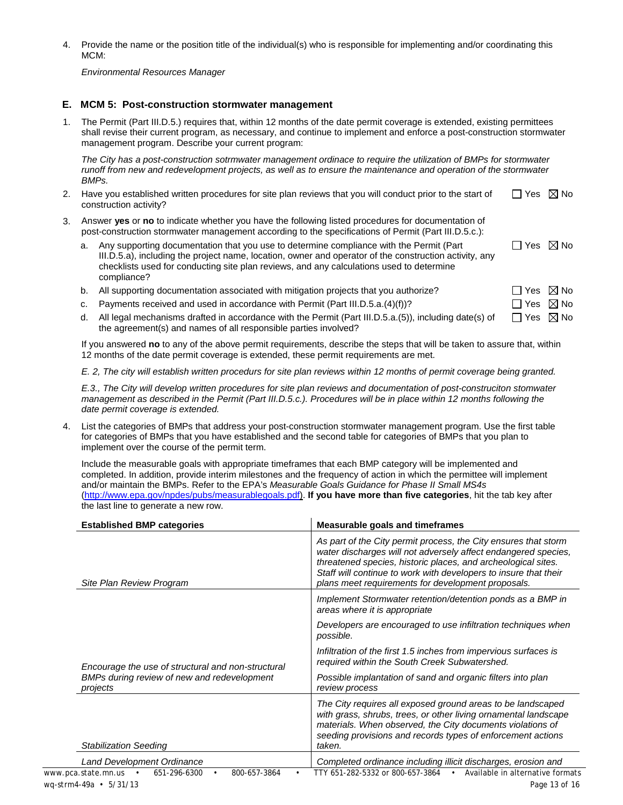4. Provide the name or the position title of the individual(s) who is responsible for implementing and/or coordinating this MCM:

*Environmental Resources Manager*

#### **E. MCM 5: Post-construction stormwater management**

1. The Permit (Part III.D.5.) requires that, within 12 months of the date permit coverage is extended, existing permittees shall revise their current program, as necessary, and continue to implement and enforce a post-construction stormwater management program. Describe your current program:

*The City has a post-construction sotrmwater management ordinace to require the utilization of BMPs for stormwater runoff from new and redevelopment projects, as well as to ensure the maintenance and operation of the stormwater BMPs.*

- 2. Have you established written procedures for site plan reviews that you will conduct prior to the start of construction activity?  $\Box$  Yes  $\boxtimes$  No
- 3. Answer **yes** or **no** to indicate whether you have the following listed procedures for documentation of post-construction stormwater management according to the specifications of Permit (Part III.D.5.c.):

| a. Any supporting documentation that you use to determine compliance with the Permit (Part             | $\Box$ Yes $\boxtimes$ No |  |
|--------------------------------------------------------------------------------------------------------|---------------------------|--|
| III.D.5.a), including the project name, location, owner and operator of the construction activity, any |                           |  |
| checklists used for conducting site plan reviews, and any calculations used to determine               |                           |  |
| compliance?                                                                                            |                           |  |

- b. All supporting documentation associated with mitigation projects that you authorize?  $\square$  Yes  $\boxtimes$  No
- c. Payments received and used in accordance with Permit (Part III.D.5.a.(4)(f))?  $\square$  Yes  $\boxtimes$  No
- d. All legal mechanisms drafted in accordance with the Permit (Part III.D.5.a.(5)), including date(s) of the agreement(s) and names of all responsible parties involved?  $\Box$  Yes  $\boxtimes$  No

If you answered **no** to any of the above permit requirements, describe the steps that will be taken to assure that, within 12 months of the date permit coverage is extended, these permit requirements are met.

*E. 2, The city will establish written procedurs for site plan reviews within 12 months of permit coverage being granted.*

*E.3., The City will develop written procedures for site plan reviews and documentation of post-construciton stomwater management as described in the Permit (Part III.D.5.c.). Procedures will be in place within 12 months following the date permit coverage is extended.*

4. List the categories of BMPs that address your post-construction stormwater management program. Use the first table for categories of BMPs that you have established and the second table for categories of BMPs that you plan to implement over the course of the permit term.

Include the measurable goals with appropriate timeframes that each BMP category will be implemented and completed. In addition, provide interim milestones and the frequency of action in which the permittee will implement and/or maintain the BMPs. Refer to the EPA's *Measurable Goals Guidance for Phase II Small MS4s* [\(http://www.epa.gov/npdes/pubs/measurablegoals.pdf\)](http://www.epa.gov/npdes/pubs/measurablegoals.pdf). **If you have more than five categories**, hit the tab key after the last line to generate a new row.

| <b>Established BMP categories</b>                                                    | <b>Measurable goals and timeframes</b>                                                                                                                                                                                                                                                                                       |  |  |  |
|--------------------------------------------------------------------------------------|------------------------------------------------------------------------------------------------------------------------------------------------------------------------------------------------------------------------------------------------------------------------------------------------------------------------------|--|--|--|
| Site Plan Review Program                                                             | As part of the City permit process, the City ensures that storm<br>water discharges will not adversely affect endangered species,<br>threatened species, historic places, and archeological sites.<br>Staff will continue to work with developers to insure that their<br>plans meet requirements for development proposals. |  |  |  |
|                                                                                      | Implement Stormwater retention/detention ponds as a BMP in<br>areas where it is appropriate                                                                                                                                                                                                                                  |  |  |  |
|                                                                                      | Developers are encouraged to use infiltration techniques when<br>possible.<br>Infiltration of the first 1.5 inches from impervious surfaces is<br>required within the South Creek Subwatershed.                                                                                                                              |  |  |  |
| Encourage the use of structural and non-structural                                   |                                                                                                                                                                                                                                                                                                                              |  |  |  |
| BMPs during review of new and redevelopment<br>projects                              | Possible implantation of sand and organic filters into plan<br>review process                                                                                                                                                                                                                                                |  |  |  |
| <b>Stabilization Seeding</b>                                                         | The City requires all exposed ground areas to be landscaped<br>with grass, shrubs, trees, or other living ornamental landscape<br>materials. When observed, the City documents violations of<br>seeding provisions and records types of enforcement actions<br>taken.                                                        |  |  |  |
| <b>Land Development Ordinance</b>                                                    | Completed ordinance including illicit discharges, erosion and                                                                                                                                                                                                                                                                |  |  |  |
| 651-296-6300<br>800-657-3864<br>www.pca.state.mn.us •<br>٠<br>wq-strm4-49a • 5/31/13 | TTY 651-282-5332 or 800-657-3864<br>Available in alternative formats<br>$\bullet$<br>Page 13 of 16                                                                                                                                                                                                                           |  |  |  |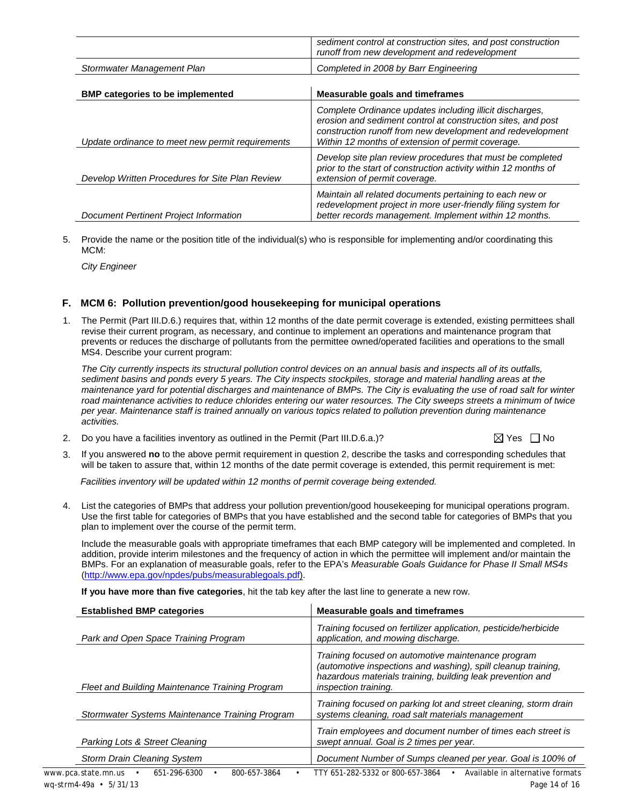|                                                  | sediment control at construction sites, and post construction<br>runoff from new development and redevelopment                                                                                                                              |
|--------------------------------------------------|---------------------------------------------------------------------------------------------------------------------------------------------------------------------------------------------------------------------------------------------|
| Stormwater Management Plan                       | Completed in 2008 by Barr Engineering                                                                                                                                                                                                       |
| <b>BMP categories to be implemented</b>          | Measurable goals and timeframes                                                                                                                                                                                                             |
| Update ordinance to meet new permit requirements | Complete Ordinance updates including illicit discharges,<br>erosion and sediment control at construction sites, and post<br>construction runoff from new development and redevelopment<br>Within 12 months of extension of permit coverage. |
| Develop Written Procedures for Site Plan Review  | Develop site plan review procedures that must be completed<br>prior to the start of construction activity within 12 months of<br>extension of permit coverage.                                                                              |
| Document Pertinent Project Information           | Maintain all related documents pertaining to each new or<br>redevelopment project in more user-friendly filing system for<br>better records management. Implement within 12 months.                                                         |

5. Provide the name or the position title of the individual(s) who is responsible for implementing and/or coordinating this MCM:

*City Engineer*

#### **F. MCM 6: Pollution prevention/good housekeeping for municipal operations**

1. The Permit (Part III.D.6.) requires that, within 12 months of the date permit coverage is extended, existing permittees shall revise their current program, as necessary, and continue to implement an operations and maintenance program that prevents or reduces the discharge of pollutants from the permittee owned/operated facilities and operations to the small MS4. Describe your current program:

*The City currently inspects its structural pollution control devices on an annual basis and inspects all of its outfalls, sediment basins and ponds every 5 years. The City inspects stockpiles, storage and material handling areas at the maintenance yard for potential discharges and maintenance of BMPs. The City is evaluating the use of road salt for winter road maintenance activities to reduce chlorides entering our water resources. The City sweeps streets a minimum of twice per year. Maintenance staff is trained annually on various topics related to pollution prevention during maintenance activities.*

- 2. Do you have a facilities inventory as outlined in the Permit (Part III.D.6.a.)?  $\boxtimes$  Yes  $\Box$  No
- 3. If you answered **no** to the above permit requirement in question 2, describe the tasks and corresponding schedules that will be taken to assure that, within 12 months of the date permit coverage is extended, this permit requirement is met:

*Facilities inventory will be updated within 12 months of permit coverage being extended.* 

4. List the categories of BMPs that address your pollution prevention/good housekeeping for municipal operations program. Use the first table for categories of BMPs that you have established and the second table for categories of BMPs that you plan to implement over the course of the permit term.

Include the measurable goals with appropriate timeframes that each BMP category will be implemented and completed. In addition, provide interim milestones and the frequency of action in which the permittee will implement and/or maintain the BMPs. For an explanation of measurable goals, refer to the EPA's *Measurable Goals Guidance for Phase II Small MS4s* [\(http://www.epa.gov/npdes/pubs/measurablegoals.pdf\)](http://www.epa.gov/npdes/pubs/measurablegoals.pdf).

**If you have more than five categories**, hit the tab key after the last line to generate a new row.

| <b>Established BMP categories</b>                   | Measurable goals and timeframes                                                                                                                                                                                  |  |  |  |
|-----------------------------------------------------|------------------------------------------------------------------------------------------------------------------------------------------------------------------------------------------------------------------|--|--|--|
| Park and Open Space Training Program                | Training focused on fertilizer application, pesticide/herbicide<br>application, and mowing discharge.                                                                                                            |  |  |  |
| Fleet and Building Maintenance Training Program     | Training focused on automotive maintenance program<br>(automotive inspections and washing), spill cleanup training,<br>hazardous materials training, building leak prevention and<br><i>inspection training.</i> |  |  |  |
| Stormwater Systems Maintenance Training Program     | Training focused on parking lot and street cleaning, storm drain<br>systems cleaning, road salt materials management                                                                                             |  |  |  |
| Parking Lots & Street Cleaning                      | Train employees and document number of times each street is<br>swept annual. Goal is 2 times per year.                                                                                                           |  |  |  |
| <b>Storm Drain Cleaning System</b>                  | Document Number of Sumps cleaned per year. Goal is 100% of                                                                                                                                                       |  |  |  |
| 651-296-6300<br>www.pca.state.mn.us<br>800-657-3864 | Available in alternative formats<br>TTY 651-282-5332 or 800-657-3864                                                                                                                                             |  |  |  |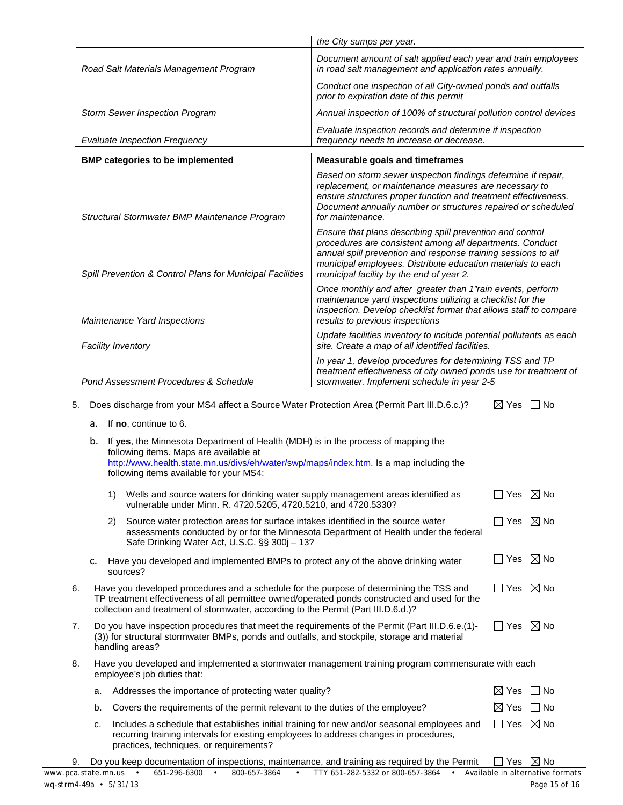|                                                                                                                                                                                                                                                                    |                                                                                                                                                                                                                                                                                                             |    |                                                                                                                                                                                                                                                                  | the City sumps per year.                                                                                                                                                                                                                                                                          |                           |           |  |  |  |
|--------------------------------------------------------------------------------------------------------------------------------------------------------------------------------------------------------------------------------------------------------------------|-------------------------------------------------------------------------------------------------------------------------------------------------------------------------------------------------------------------------------------------------------------------------------------------------------------|----|------------------------------------------------------------------------------------------------------------------------------------------------------------------------------------------------------------------------------------------------------------------|---------------------------------------------------------------------------------------------------------------------------------------------------------------------------------------------------------------------------------------------------------------------------------------------------|---------------------------|-----------|--|--|--|
|                                                                                                                                                                                                                                                                    | Road Salt Materials Management Program                                                                                                                                                                                                                                                                      |    |                                                                                                                                                                                                                                                                  | Document amount of salt applied each year and train employees<br>in road salt management and application rates annually.                                                                                                                                                                          |                           |           |  |  |  |
|                                                                                                                                                                                                                                                                    |                                                                                                                                                                                                                                                                                                             |    |                                                                                                                                                                                                                                                                  | Conduct one inspection of all City-owned ponds and outfalls<br>prior to expiration date of this permit                                                                                                                                                                                            |                           |           |  |  |  |
|                                                                                                                                                                                                                                                                    |                                                                                                                                                                                                                                                                                                             |    | <b>Storm Sewer Inspection Program</b>                                                                                                                                                                                                                            | Annual inspection of 100% of structural pollution control devices                                                                                                                                                                                                                                 |                           |           |  |  |  |
|                                                                                                                                                                                                                                                                    |                                                                                                                                                                                                                                                                                                             |    | <b>Evaluate Inspection Frequency</b>                                                                                                                                                                                                                             | Evaluate inspection records and determine if inspection<br>frequency needs to increase or decrease.                                                                                                                                                                                               |                           |           |  |  |  |
|                                                                                                                                                                                                                                                                    |                                                                                                                                                                                                                                                                                                             |    | <b>BMP categories to be implemented</b>                                                                                                                                                                                                                          | <b>Measurable goals and timeframes</b>                                                                                                                                                                                                                                                            |                           |           |  |  |  |
|                                                                                                                                                                                                                                                                    |                                                                                                                                                                                                                                                                                                             |    | Structural Stormwater BMP Maintenance Program                                                                                                                                                                                                                    | Based on storm sewer inspection findings determine if repair,<br>replacement, or maintenance measures are necessary to<br>ensure structures proper function and treatment effectiveness.<br>Document annually number or structures repaired or scheduled<br>for maintenance.                      |                           |           |  |  |  |
|                                                                                                                                                                                                                                                                    |                                                                                                                                                                                                                                                                                                             |    | Spill Prevention & Control Plans for Municipal Facilities                                                                                                                                                                                                        | Ensure that plans describing spill prevention and control<br>procedures are consistent among all departments. Conduct<br>annual spill prevention and response training sessions to all<br>municipal employees. Distribute education materials to each<br>municipal facility by the end of year 2. |                           |           |  |  |  |
|                                                                                                                                                                                                                                                                    |                                                                                                                                                                                                                                                                                                             |    | Maintenance Yard Inspections                                                                                                                                                                                                                                     | Once monthly and after greater than 1"rain events, perform<br>maintenance yard inspections utilizing a checklist for the<br>inspection. Develop checklist format that allows staff to compare<br>results to previous inspections                                                                  |                           |           |  |  |  |
|                                                                                                                                                                                                                                                                    | <b>Facility Inventory</b>                                                                                                                                                                                                                                                                                   |    |                                                                                                                                                                                                                                                                  | Update facilities inventory to include potential pollutants as each<br>site. Create a map of all identified facilities.                                                                                                                                                                           |                           |           |  |  |  |
|                                                                                                                                                                                                                                                                    | Pond Assessment Procedures & Schedule                                                                                                                                                                                                                                                                       |    |                                                                                                                                                                                                                                                                  | In year 1, develop procedures for determining TSS and TP<br>treatment effectiveness of city owned ponds use for treatment of<br>stormwater. Implement schedule in year 2-5                                                                                                                        |                           |           |  |  |  |
|                                                                                                                                                                                                                                                                    |                                                                                                                                                                                                                                                                                                             |    |                                                                                                                                                                                                                                                                  |                                                                                                                                                                                                                                                                                                   |                           |           |  |  |  |
| 5.                                                                                                                                                                                                                                                                 | a.                                                                                                                                                                                                                                                                                                          |    | Does discharge from your MS4 affect a Source Water Protection Area (Permit Part III.D.6.c.)?<br>If no, continue to 6.                                                                                                                                            |                                                                                                                                                                                                                                                                                                   | $\boxtimes$ Yes           | No.       |  |  |  |
|                                                                                                                                                                                                                                                                    | b.                                                                                                                                                                                                                                                                                                          |    | If yes, the Minnesota Department of Health (MDH) is in the process of mapping the<br>following items. Maps are available at<br>http://www.health.state.mn.us/divs/eh/water/swp/maps/index.htm. Is a map including the<br>following items available for your MS4: |                                                                                                                                                                                                                                                                                                   |                           |           |  |  |  |
|                                                                                                                                                                                                                                                                    |                                                                                                                                                                                                                                                                                                             | 1) | Wells and source waters for drinking water supply management areas identified as<br>vulnerable under Minn. R. 4720.5205, 4720.5210, and 4720.5330?                                                                                                               |                                                                                                                                                                                                                                                                                                   | $\Box$ Yes $\boxtimes$ No |           |  |  |  |
|                                                                                                                                                                                                                                                                    |                                                                                                                                                                                                                                                                                                             | 2) | Source water protection areas for surface intakes identified in the source water<br>assessments conducted by or for the Minnesota Department of Health under the federal<br>Safe Drinking Water Act, U.S.C. §§ 300j - 13?                                        |                                                                                                                                                                                                                                                                                                   | $\Box$ Yes $\boxtimes$ No |           |  |  |  |
|                                                                                                                                                                                                                                                                    | c.                                                                                                                                                                                                                                                                                                          |    | Have you developed and implemented BMPs to protect any of the above drinking water<br>sources?                                                                                                                                                                   |                                                                                                                                                                                                                                                                                                   | $\Box$ Yes $\boxtimes$ No |           |  |  |  |
| 6.                                                                                                                                                                                                                                                                 | $\Box$ Yes $\boxtimes$ No<br>Have you developed procedures and a schedule for the purpose of determining the TSS and<br>TP treatment effectiveness of all permittee owned/operated ponds constructed and used for the<br>collection and treatment of stormwater, according to the Permit (Part III.D.6.d.)? |    |                                                                                                                                                                                                                                                                  |                                                                                                                                                                                                                                                                                                   |                           |           |  |  |  |
| 7.                                                                                                                                                                                                                                                                 |                                                                                                                                                                                                                                                                                                             |    | Do you have inspection procedures that meet the requirements of the Permit (Part III.D.6.e.(1)-<br>(3)) for structural stormwater BMPs, ponds and outfalls, and stockpile, storage and material<br>handling areas?                                               |                                                                                                                                                                                                                                                                                                   | $\Box$ Yes $\boxtimes$ No |           |  |  |  |
| 8.                                                                                                                                                                                                                                                                 |                                                                                                                                                                                                                                                                                                             |    | Have you developed and implemented a stormwater management training program commensurate with each<br>employee's job duties that:                                                                                                                                |                                                                                                                                                                                                                                                                                                   |                           |           |  |  |  |
|                                                                                                                                                                                                                                                                    | a.                                                                                                                                                                                                                                                                                                          |    | Addresses the importance of protecting water quality?                                                                                                                                                                                                            |                                                                                                                                                                                                                                                                                                   | $\boxtimes$ Yes           | l INo     |  |  |  |
|                                                                                                                                                                                                                                                                    | b.                                                                                                                                                                                                                                                                                                          |    | Covers the requirements of the permit relevant to the duties of the employee?                                                                                                                                                                                    |                                                                                                                                                                                                                                                                                                   | $\boxtimes$ Yes           | $\Box$ No |  |  |  |
| $\Box$ Yes $\boxtimes$ No<br>Includes a schedule that establishes initial training for new and/or seasonal employees and<br>c.<br>recurring training intervals for existing employees to address changes in procedures,<br>practices, techniques, or requirements? |                                                                                                                                                                                                                                                                                                             |    |                                                                                                                                                                                                                                                                  |                                                                                                                                                                                                                                                                                                   |                           |           |  |  |  |

|  | 9. Do you keep documentation of inspections, maintenance, and training as required by the Permit $\Box$ Yes $\boxtimes$ No |  |  |  |  |
|--|----------------------------------------------------------------------------------------------------------------------------|--|--|--|--|
|  |                                                                                                                            |  |  |  |  |